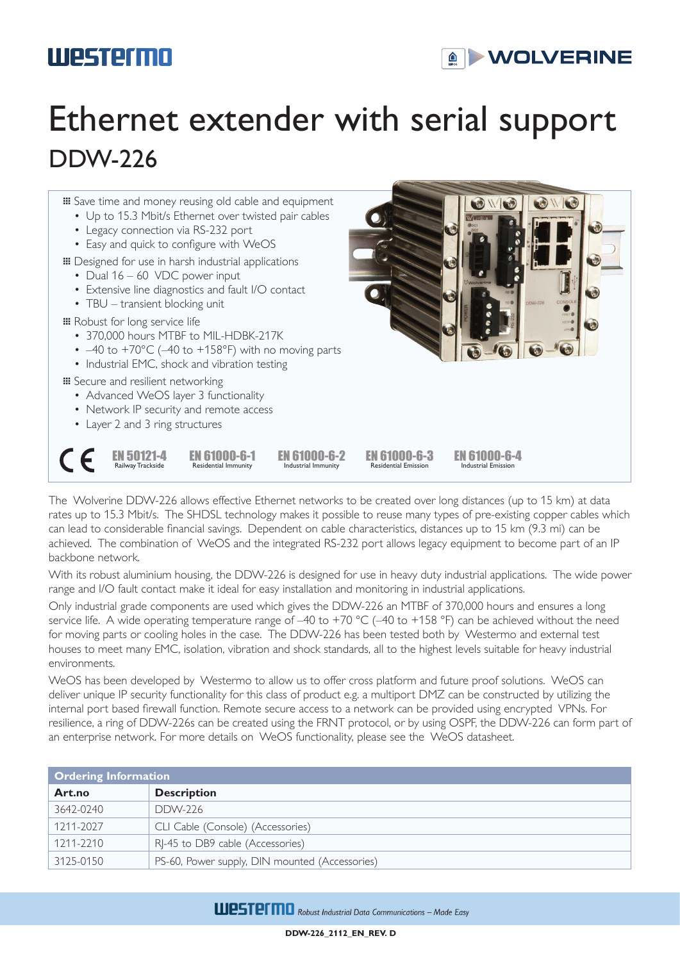### **Westermo**



## Ethernet extender with serial support DDW-226



The Wolverine DDW-226 allows effective Ethernet networks to be created over long distances (up to 15 km) at data rates up to 15.3 Mbit/s. The SHDSL technology makes it possible to reuse many types of pre-existing copper cables which can lead to considerable financial savings. Dependent on cable characteristics, distances up to 15 km (9.3 mi) can be achieved. The combination of WeOS and the integrated RS-232 port allows legacy equipment to become part of an IP backbone network.

With its robust aluminium housing, the DDW-226 is designed for use in heavy duty industrial applications. The wide power range and I/O fault contact make it ideal for easy installation and monitoring in industrial applications.

Only industrial grade components are used which gives the DDW-226 an MTBF of 370,000 hours and ensures a long service life. A wide operating temperature range of –40 to +70 °C (–40 to +158 °F) can be achieved without the need for moving parts or cooling holes in the case. The DDW-226 has been tested both by Westermo and external test houses to meet many EMC, isolation, vibration and shock standards, all to the highest levels suitable for heavy industrial environments.

WeOS has been developed by Westermo to allow us to offer cross platform and future proof solutions. WeOS can deliver unique IP security functionality for this class of product e.g. a multiport DMZ can be constructed by utilizing the internal port based firewall function. Remote secure access to a network can be provided using encrypted VPNs. For resilience, a ring of DDW-226s can be created using the FRNT protocol, or by using OSPF, the DDW-226 can form part of an enterprise network. For more details on WeOS functionality, please see the WeOS datasheet.

| <b>Ordering Information</b> |                                                |  |
|-----------------------------|------------------------------------------------|--|
| Art.no                      | <b>Description</b>                             |  |
| 3642-0240                   | DDW-226                                        |  |
| 1211-2027                   | CLI Cable (Console) (Accessories)              |  |
| 1211-2210                   | RI-45 to DB9 cable (Accessories)               |  |
| 3125-0150                   | PS-60, Power supply, DIN mounted (Accessories) |  |